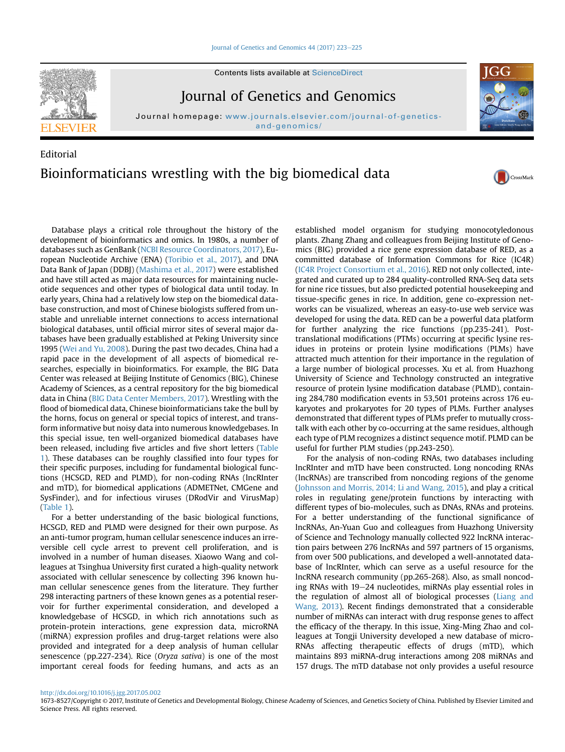#### [Journal of Genetics and Genomics 44 \(2017\) 223](http://dx.doi.org/10.1016/j.jgg.2017.05.002)-[225](http://dx.doi.org/10.1016/j.jgg.2017.05.002)



Contents lists available at [ScienceDirect](www.sciencedirect.com/science/journal/16738527)

Journal of Genetics and Genomics

Journal homepage: [www.journals.elsevier.com/journal-of-genetics](www.journals.elsevier.com/journal-of-genetics-and-genomics/)[and-genomics/](www.journals.elsevier.com/journal-of-genetics-and-genomics/)

# Editorial Bioinformaticians wrestling with the big biomedical data

Database plays a critical role throughout the history of the development of bioinformatics and omics. In 1980s, a number of databases such as GenBank [\(NCBI Resource Coordinators, 2017](#page-1-0)), European Nucleotide Archive (ENA) [\(Toribio et al., 2017](#page-1-0)), and DNA Data Bank of Japan (DDBJ) ([Mashima et al., 2017](#page-1-0)) were established and have still acted as major data resources for maintaining nucleotide sequences and other types of biological data until today. In early years, China had a relatively low step on the biomedical database construction, and most of Chinese biologists suffered from unstable and unreliable internet connections to access international biological databases, until official mirror sites of several major databases have been gradually established at Peking University since 1995 [\(Wei and Yu, 2008\)](#page-1-0). During the past two decades, China had a rapid pace in the development of all aspects of biomedical researches, especially in bioinformatics. For example, the BIG Data Center was released at Beijing Institute of Genomics (BIG), Chinese Academy of Sciences, as a central repository for the big biomedical data in China ([BIG Data Center Members, 2017\)](#page-1-0). Wrestling with the flood of biomedical data, Chinese bioinformaticians take the bull by the horns, focus on general or special topics of interest, and transform informative but noisy data into numerous knowledgebases. In this special issue, ten well-organized biomedical databases have been released, including five articles and five short letters ([Table](#page-1-0) [1](#page-1-0)). These databases can be roughly classified into four types for their specific purposes, including for fundamental biological functions (HCSGD, RED and PLMD), for non-coding RNAs (lncRInter and mTD), for biomedical applications (ADMETNet, CMGene and SysFinder), and for infectious viruses (DRodVir and VirusMap) ([Table 1\)](#page-1-0).

For a better understanding of the basic biological functions, HCSGD, RED and PLMD were designed for their own purpose. As an anti-tumor program, human cellular senescence induces an irreversible cell cycle arrest to prevent cell proliferation, and is involved in a number of human diseases. Xiaowo Wang and colleagues at Tsinghua University first curated a high-quality network associated with cellular senescence by collecting 396 known human cellular senescence genes from the literature. They further 298 interacting partners of these known genes as a potential reservoir for further experimental consideration, and developed a knowledgebase of HCSGD, in which rich annotations such as protein-protein interactions, gene expression data, microRNA (miRNA) expression profiles and drug-target relations were also provided and integrated for a deep analysis of human cellular senescence (pp.227-234). Rice (Oryza sativa) is one of the most important cereal foods for feeding humans, and acts as an

established model organism for studying monocotyledonous plants. Zhang Zhang and colleagues from Beijing Institute of Genomics (BIG) provided a rice gene expression database of RED, as a committed database of Information Commons for Rice (IC4R) ([IC4R Project Consortium et al., 2016\)](#page-1-0). RED not only collected, integrated and curated up to 284 quality-controlled RNA-Seq data sets for nine rice tissues, but also predicted potential housekeeping and tissue-specific genes in rice. In addition, gene co-expression networks can be visualized, whereas an easy-to-use web service was developed for using the data. RED can be a powerful data platform for further analyzing the rice functions (pp.235-241). Posttranslational modifications (PTMs) occurring at specific lysine residues in proteins or protein lysine modifications (PLMs) have attracted much attention for their importance in the regulation of a large number of biological processes. Xu et al. from Huazhong University of Science and Technology constructed an integrative resource of protein lysine modification database (PLMD), containing 284,780 modification events in 53,501 proteins across 176 eukaryotes and prokaryotes for 20 types of PLMs. Further analyses demonstrated that different types of PLMs prefer to mutually crosstalk with each other by co-occurring at the same residues, although each type of PLM recognizes a distinct sequence motif. PLMD can be useful for further PLM studies (pp.243-250).

For the analysis of non-coding RNAs, two databases including lncRInter and mTD have been constructed. Long noncoding RNAs (lncRNAs) are transcribed from noncoding regions of the genome ([Johnsson and Morris, 2014; Li and Wang, 2015\)](#page-1-0), and play a critical roles in regulating gene/protein functions by interacting with different types of bio-molecules, such as DNAs, RNAs and proteins. For a better understanding of the functional significance of lncRNAs, An-Yuan Guo and colleagues from Huazhong University of Science and Technology manually collected 922 lncRNA interaction pairs between 276 lncRNAs and 597 partners of 15 organisms, from over 500 publications, and developed a well-annotated database of lncRInter, which can serve as a useful resource for the lncRNA research community (pp.265-268). Also, as small noncoding RNAs with 19-24 nucleotides, miRNAs play essential roles in the regulation of almost all of biological processes ([Liang and](#page-1-0) [Wang, 2013\)](#page-1-0). Recent findings demonstrated that a considerable number of miRNAs can interact with drug response genes to affect the efficacy of the therapy. In this issue, Xing-Ming Zhao and colleagues at Tongji University developed a new database of micro-RNAs affecting therapeutic effects of drugs (mTD), which maintains 893 miRNA-drug interactions among 208 miRNAs and 157 drugs. The mTD database not only provides a useful resource

<http://dx.doi.org/10.1016/j.jgg.2017.05.002>



CrossMark

<sup>1673-8527/</sup>Copyright © 2017, Institute of Genetics and Developmental Biology, Chinese Academy of Sciences, and Genetics Society of China. Published by Elsevier Limited and Science Press. All rights reserved.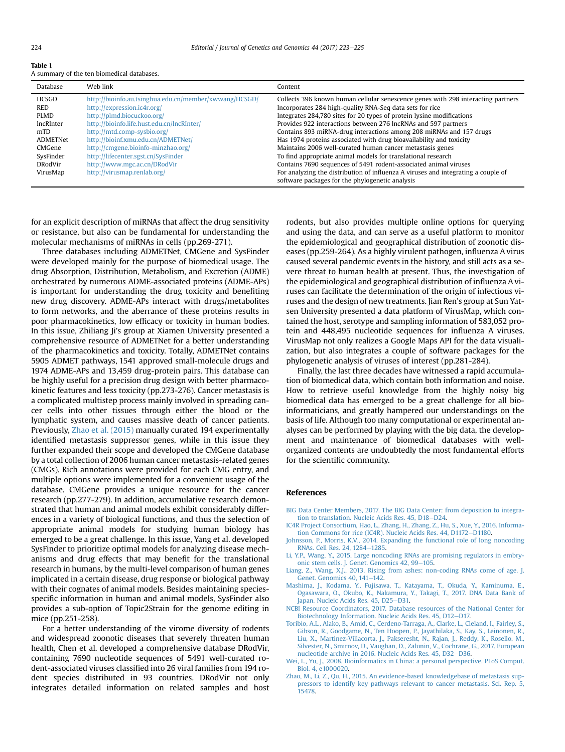<span id="page-1-0"></span>

| A summary of the ten biomedical databases. |  |
|--------------------------------------------|--|

| Database     | Web link                                               | Content                                                                                                                              |
|--------------|--------------------------------------------------------|--------------------------------------------------------------------------------------------------------------------------------------|
| <b>HCSGD</b> | http://bioinfo.au.tsinghua.edu.cn/member/xwwang/HCSGD/ | Collects 396 known human cellular senescence genes with 298 interacting partners                                                     |
| RED          | http://expression.ic4r.org/                            | Incorporates 284 high-quality RNA-Seq data sets for rice                                                                             |
| <b>PLMD</b>  | http://plmd.biocuckoo.org/                             | Integrates 284,780 sites for 20 types of protein lysine modifications                                                                |
| lncRInter    | http://bioinfo.life.hust.edu.cn/lncRInter/             | Provides 922 interactions between 276 lncRNAs and 597 partners                                                                       |
| mTD          | http://mtd.comp-sysbio.org/                            | Contains 893 miRNA-drug interactions among 208 miRNAs and 157 drugs                                                                  |
| ADMETNet     | http://bioinf.xmu.edu.cn/ADMETNet/                     | Has 1974 proteins associated with drug bioavailability and toxicity                                                                  |
| CMGene       | http://cmgene.bioinfo-minzhao.org/                     | Maintains 2006 well-curated human cancer metastasis genes                                                                            |
| SysFinder    | http://lifecenter.sgst.cn/SysFinder                    | To find appropriate animal models for translational research                                                                         |
| DRodVir      | http://www.mgc.ac.cn/DRodVir                           | Contains 7690 sequences of 5491 rodent-associated animal viruses                                                                     |
| VirusMap     | http://virusmap.renlab.org/                            | For analyzing the distribution of influenza A viruses and integrating a couple of<br>software packages for the phylogenetic analysis |

for an explicit description of miRNAs that affect the drug sensitivity or resistance, but also can be fundamental for understanding the molecular mechanisms of miRNAs in cells (pp.269-271).

Three databases including ADMETNet, CMGene and SysFinder were developed mainly for the purpose of biomedical usage. The drug Absorption, Distribution, Metabolism, and Excretion (ADME) orchestrated by numerous ADME-associated proteins (ADME-APs) is important for understanding the drug toxicity and benefiting new drug discovery. ADME-APs interact with drugs/metabolites to form networks, and the aberrance of these proteins results in poor pharmacokinetics, low efficacy or toxicity in human bodies. In this issue, Zhiliang Ji's group at Xiamen University presented a comprehensive resource of ADMETNet for a better understanding of the pharmacokinetics and toxicity. Totally, ADMETNet contains 5905 ADMET pathways, 1541 approved small-molecule drugs and 1974 ADME-APs and 13,459 drug-protein pairs. This database can be highly useful for a precision drug design with better pharmacokinetic features and less toxicity (pp.273-276). Cancer metastasis is a complicated multistep process mainly involved in spreading cancer cells into other tissues through either the blood or the lymphatic system, and causes massive death of cancer patients. Previously, Zhao et al. (2015) manually curated 194 experimentally identified metastasis suppressor genes, while in this issue they further expanded their scope and developed the CMGene database by a total collection of 2006 human cancer metastasis-related genes (CMGs). Rich annotations were provided for each CMG entry, and multiple options were implemented for a convenient usage of the database. CMGene provides a unique resource for the cancer research (pp.277-279). In addition, accumulative research demonstrated that human and animal models exhibit considerably differences in a variety of biological functions, and thus the selection of appropriate animal models for studying human biology has emerged to be a great challenge. In this issue, Yang et al. developed SysFinder to prioritize optimal models for analyzing disease mechanisms and drug effects that may benefit for the translational research in humans, by the multi-level comparison of human genes implicated in a certain disease, drug response or biological pathway with their cognates of animal models. Besides maintaining speciesspecific information in human and animal models, SysFinder also provides a sub-option of Topic2Strain for the genome editing in mice (pp.251-258).

For a better understanding of the virome diversity of rodents and widespread zoonotic diseases that severely threaten human health, Chen et al. developed a comprehensive database DRodVir, containing 7690 nucleotide sequences of 5491 well-curated rodent-associated viruses classified into 26 viral families from 194 rodent species distributed in 93 countries. DRodVir not only integrates detailed information on related samples and host rodents, but also provides multiple online options for querying and using the data, and can serve as a useful platform to monitor the epidemiological and geographical distribution of zoonotic diseases (pp.259-264). As a highly virulent pathogen, influenza A virus caused several pandemic events in the history, and still acts as a severe threat to human health at present. Thus, the investigation of the epidemiological and geographical distribution of influenza A viruses can facilitate the determination of the origin of infectious viruses and the design of new treatments. Jian Ren's group at Sun Yatsen University presented a data platform of VirusMap, which contained the host, serotype and sampling information of 583,052 protein and 448,495 nucleotide sequences for influenza A viruses. VirusMap not only realizes a Google Maps API for the data visualization, but also integrates a couple of software packages for the phylogenetic analysis of viruses of interest (pp.281-284).

Finally, the last three decades have witnessed a rapid accumulation of biomedical data, which contain both information and noise. How to retrieve useful knowledge from the highly noisy big biomedical data has emerged to be a great challenge for all bioinformaticians, and greatly hampered our understandings on the basis of life. Although too many computational or experimental analyses can be performed by playing with the big data, the development and maintenance of biomedical databases with wellorganized contents are undoubtedly the most fundamental efforts for the scientific community.

#### References

- [BIG Data Center Members, 2017. The BIG Data Center: from deposition to integra](http://refhub.elsevier.com/S1673-8527(17)30078-4/sref1)[tion to translation. Nucleic Acids Res. 45, D18](http://refhub.elsevier.com/S1673-8527(17)30078-4/sref1)-[D24.](http://refhub.elsevier.com/S1673-8527(17)30078-4/sref1)
- [IC4R Project Consortium, Hao, L., Zhang, H., Zhang, Z., Hu, S., Xue, Y., 2016. Informa](http://refhub.elsevier.com/S1673-8527(17)30078-4/sref2)[tion Commons for rice \(IC4R\). Nucleic Acids Res. 44, D1172](http://refhub.elsevier.com/S1673-8527(17)30078-4/sref2)-[D1180.](http://refhub.elsevier.com/S1673-8527(17)30078-4/sref2)
- [Johnsson, P., Morris, K.V., 2014. Expanding the functional role of long noncoding](http://refhub.elsevier.com/S1673-8527(17)30078-4/sref3) [RNAs. Cell Res. 24, 1284](http://refhub.elsevier.com/S1673-8527(17)30078-4/sref3)-[1285](http://refhub.elsevier.com/S1673-8527(17)30078-4/sref3).
- [Li, Y.P., Wang, Y., 2015. Large noncoding RNAs are promising regulators in embry](http://refhub.elsevier.com/S1673-8527(17)30078-4/sref4)[onic stem cells. J. Genet. Genomics 42, 99](http://refhub.elsevier.com/S1673-8527(17)30078-4/sref4)-[105.](http://refhub.elsevier.com/S1673-8527(17)30078-4/sref4)
- [Liang, Z., Wang, X.J., 2013. Rising from ashes: non-coding RNAs come of age. J.](http://refhub.elsevier.com/S1673-8527(17)30078-4/sref5) [Genet. Genomics 40, 141](http://refhub.elsevier.com/S1673-8527(17)30078-4/sref5)-[142](http://refhub.elsevier.com/S1673-8527(17)30078-4/sref5).
- [Mashima, J., Kodama, Y., Fujisawa, T., Katayama, T., Okuda, Y., Kaminuma, E.,](http://refhub.elsevier.com/S1673-8527(17)30078-4/sref6) [Ogasawara, O., Okubo, K., Nakamura, Y., Takagi, T., 2017. DNA Data Bank of](http://refhub.elsevier.com/S1673-8527(17)30078-4/sref6) [Japan. Nucleic Acids Res. 45, D25](http://refhub.elsevier.com/S1673-8527(17)30078-4/sref6)-[D31.](http://refhub.elsevier.com/S1673-8527(17)30078-4/sref6)
- [NCBI Resource Coordinators, 2017. Database resources of the National Center for](http://refhub.elsevier.com/S1673-8527(17)30078-4/sref7) [Biotechnology Information. Nucleic Acids Res. 45, D12](http://refhub.elsevier.com/S1673-8527(17)30078-4/sref7)-D17
- [Toribio, A.L., Alako, B., Amid, C., Cerdeno-Tarraga, A., Clarke, L., Cleland, I., Fairley, S.,](http://refhub.elsevier.com/S1673-8527(17)30078-4/sref8) [Gibson, R., Goodgame, N., Ten Hoopen, P., Jayathilaka, S., Kay, S., Leinonen, R.,](http://refhub.elsevier.com/S1673-8527(17)30078-4/sref8) [Liu, X., Martinez-Villacorta, J., Pakseresht, N., Rajan, J., Reddy, K., Rosello, M.,](http://refhub.elsevier.com/S1673-8527(17)30078-4/sref8) [Silvester, N., Smirnov, D., Vaughan, D., Zalunin, V., Cochrane, G., 2017. European](http://refhub.elsevier.com/S1673-8527(17)30078-4/sref8) [nucleotide archive in 2016. Nucleic Acids Res. 45, D32](http://refhub.elsevier.com/S1673-8527(17)30078-4/sref8)-[D36](http://refhub.elsevier.com/S1673-8527(17)30078-4/sref8).
- [Wei, L., Yu, J., 2008. Bioinformatics in China: a personal perspective. PLoS Comput.](http://refhub.elsevier.com/S1673-8527(17)30078-4/sref9) [Biol. 4, e1000020.](http://refhub.elsevier.com/S1673-8527(17)30078-4/sref9)
- [Zhao, M., Li, Z., Qu, H., 2015. An evidence-based knowledgebase of metastasis sup](http://refhub.elsevier.com/S1673-8527(17)30078-4/sref10)[pressors to identify key pathways relevant to cancer metastasis. Sci. Rep. 5,](http://refhub.elsevier.com/S1673-8527(17)30078-4/sref10) [15478](http://refhub.elsevier.com/S1673-8527(17)30078-4/sref10).